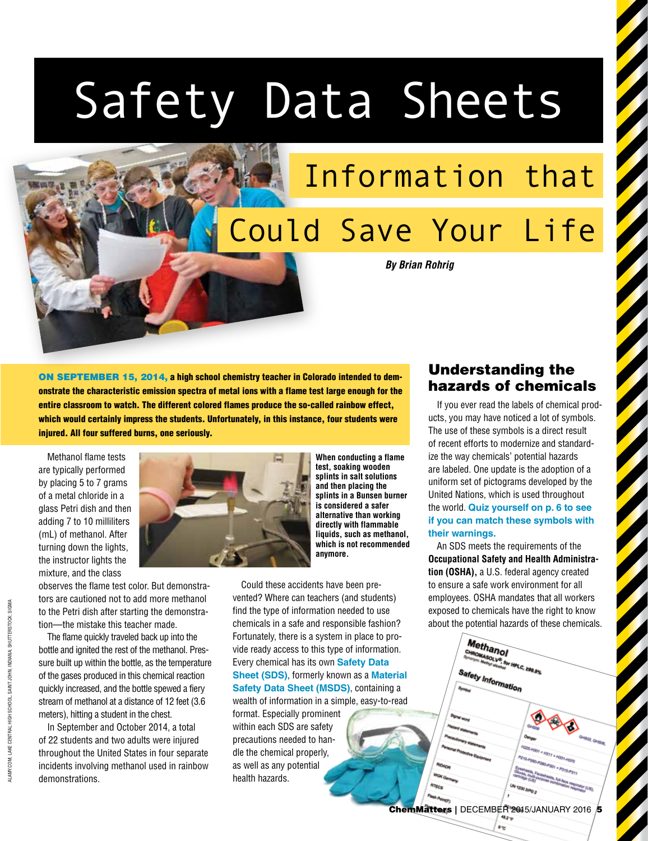# Safety Data Sheets

# Information that

# Could Save Your Life

*By Brian Rohrig*

ON SEPTEMBER 15, 2014, a high school chemistry teacher in Colorado intended to demonstrate the characteristic emission spectra of metal ions with a flame test large enough for the entire classroom to watch. The different colored flames produce the so-called rainbow effect, which would certainly impress the students. Unfortunately, in this instance, four students were injured. All four suffered burns, one seriously.

Methanol flame tests are typically performed by placing 5 to 7 grams of a metal chloride in a glass Petri dish and then adding 7 to 10 milliliters (mL) of methanol. After turning down the lights, the instructor lights the mixture, and the class

observes the flame test color. But demonstrators are cautioned not to add more methanol to the Petri dish after starting the demonstration—the mistake this teacher made.

The flame quickly traveled back up into the bottle and ignited the rest of the methanol. Pressure built up within the bottle, as the temperature of the gases produced in this chemical reaction quickly increased, and the bottle spewed a fiery stream of methanol at a distance of 12 feet (3.6 meters), hitting a student in the chest.

In September and October 2014, a total of 22 students and two adults were injured throughout the United States in four separate incidents involving methanol used in rainbow demonstrations.



**When conducting a flame test, soaking wooden splints in salt solutions and then placing the splints in a Bunsen burner is considered a safer alternative than working directly with flammable liquids, such as methanol, which is not recommended anymore.**

Could these accidents have been prevented? Where can teachers (and students) find the type of information needed to use chemicals in a safe and responsible fashion? Fortunately, there is a system in place to provide ready access to this type of information. Every chemical has its own **Safety Data Sheet (SDS)**, formerly known as a **Material Safety Data Sheet (MSDS)**, containing a wealth of information in a simple, easy-to-read

format. Especially prominent within each SDS are safety precautions needed to handle the chemical properly, as well as any potential health hazards.

### Understanding the hazards of chemicals

If you ever read the labels of chemical products, you may have noticed a lot of symbols. The use of these symbols is a direct result of recent efforts to modernize and standardize the way chemicals' potential hazards are labeled. One update is the adoption of a uniform set of pictograms developed by the United Nations, which is used throughout the world. **Quiz yourself on p. 6 to see if you can match these symbols with their warnings.**

An SDS meets the requirements of the **Occupational Safety and Health Administration (OSHA),** a U.S. federal agency created to ensure a safe work environment for all employees. OSHA mandates that all workers exposed to chemicals have the right to know about the potential hazards of these chemicals.

**MASOLV<sup>6</sup> for HPLC, 298.9%** 

ChemMatters | DECEMBER 2015/JANUARY 2016 5

Methanol

Safety Information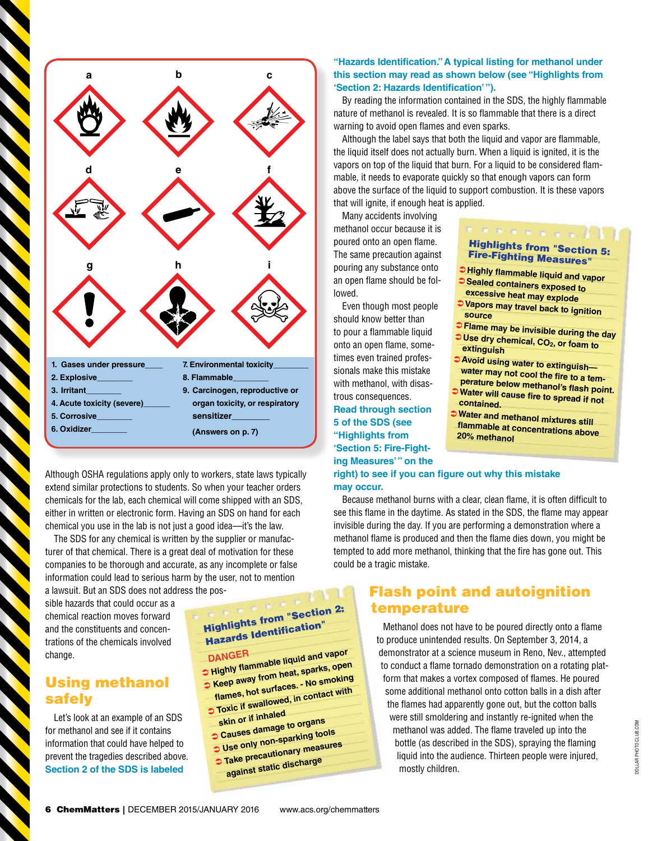

Although OSHA regulations apply only to workers, state laws typically extend similar protections to students. So when your teacher orders chemicals for the lab, each chemical will come shipped with an SDS, either in written or electronic form. Having an SDS on hand for each chemical you use in the lab is not just a good idea—it's the law.

The SDS for any chemical is written by the supplier or manufacturer of that chemical. There is a great deal of motivation for these companies to be thorough and accurate, as any incomplete or false information could lead to serious harm by the user, not to mention a lawsuit. But an SDS does not address the pos-

sible hazards that could occur as a chemical reaction moves forward and the constituents and concentrations of the chemicals involved change.

#### Using methanol safely

Let's look at an example of an SDS for methanol and see if it contains information that could have helped to prevent the tragedies described above. **Section 2 of the SDS is labeled** 

# Highlights from "Section 2: Hazards Identification"

**DANGER**<br>• Highly flammable liquid and vapor<br>• tighly flammable liquid and vapor  $\bullet$  Keep away from heat, sparks, open

- **flames, hot surfaces. No smoking**  $\circ$  Toxic if swallowed, in contact with
- **skin or if inhaled**
- $\circ$  Causes damage to organs
- **Causes dames-**<br>Use only non-sparking tools  $\circ$  Take precautionary measures
- **against static discharge**
- 

#### **"Hazards Identification." A typical listing for methanol under this section may read as shown below (see "Highlights from 'Section 2: Hazards Identification' ").**

By reading the information contained in the SDS, the highly flammable nature of methanol is revealed. It is so flammable that there is a direct warning to avoid open flames and even sparks.

Although the label says that both the liquid and vapor are flammable, the liquid itself does not actually burn. When a liquid is ignited, it is the vapors on top of the liquid that burn. For a liquid to be considered flammable, it needs to evaporate quickly so that enough vapors can form above the surface of the liquid to support combustion. It is these vapors that will ignite, if enough heat is applied.

Many accidents involving methanol occur because it is poured onto an open flame. The same precaution against pouring any substance onto an open flame should be followed.

Even though most people should know better than to pour a flammable liquid onto an open flame, sometimes even trained professionals make this mistake with methanol, with disastrous consequences.

**Read through section 5 of the SDS (see "Highlights from 'Section 5: Fire-Fighting Measures' " on the** 

#### **RIFERENCE** Highlights from "Section 5: Fire-Fighting Measures"

- 
- <sup>Ü</sup>**Highly flammable liquid and vapor** <sup>Ü</sup>**Sealed containers exposed to excessive heat may explode**
- <sup>Ü</sup>**Vapors may travel back to ignition source**
- 
- <sup>Ü</sup>**Flame may be invisible during the day** <sup>Ü</sup>**Use dry chemical, CO<sup>2</sup>, or foam to extinguish**
- <sup>Ü</sup>**Avoid using water to extinguish water may not cool the fire to a tem-**
- **perature below methanol's flash point.**  <sup>Ü</sup>**Water will cause fire to spread if not contained.**
- <sup>Ü</sup>**Water and methanol mixtures still flammable at concentrations above 20% methanol**

#### **right) to see if you can figure out why this mistake may occur.**

Because methanol burns with a clear, clean flame, it is often difficult to see this flame in the daytime. As stated in the SDS, the flame may appear invisible during the day. If you are performing a demonstration where a methanol flame is produced and then the flame dies down, you might be tempted to add more methanol, thinking that the fire has gone out. This could be a tragic mistake.

### Flash point and autoignition temperature

Methanol does not have to be poured directly onto a flame to produce unintended results. On September 3, 2014, a demonstrator at a science museum in Reno, Nev., attempted to conduct a flame tornado demonstration on a rotating platform that makes a vortex composed of flames. He poured some additional methanol onto cotton balls in a dish after the flames had apparently gone out, but the cotton balls were still smoldering and instantly re-ignited when the methanol was added. The flame traveled up into the bottle (as described in the SDS), spraying the flaming liquid into the audience. Thirteen people were injured, mostly children.